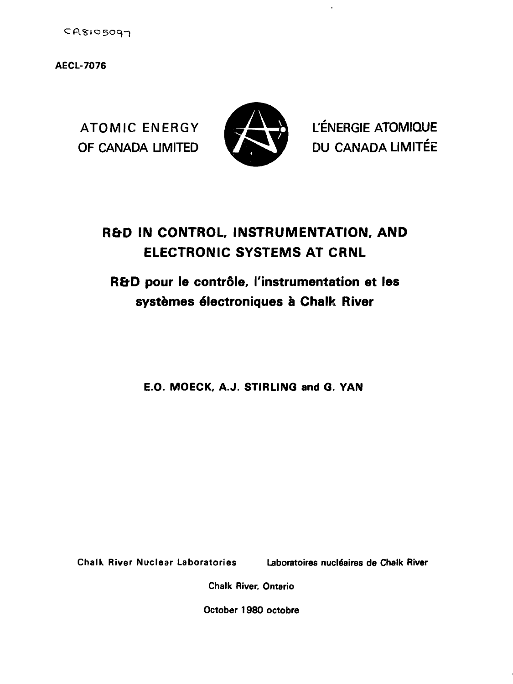$CR8105097$ 

**AECL-7076**



ATOMIC ENERGY **EXERGIE ATOMIQUE** OF CANADA LIMITED **VALUATION** DU CANADA LIMITÉE

# **R&D IN CONTROL, INSTRUMENTATION, AND ELECTRONIC SYSTEMS AT CRNL**

# **R&D pour le contrôle, l'instrumentation et les systemes electroniques a Chalk River**

**E.O. MOECK, A.J. STIRLING and G. VAN**

**Chalk River Nuclear Laboratories Laboratoires nucle'aires de Chalk River**

**Chalk River, Ontario**

**October 1980 octobre**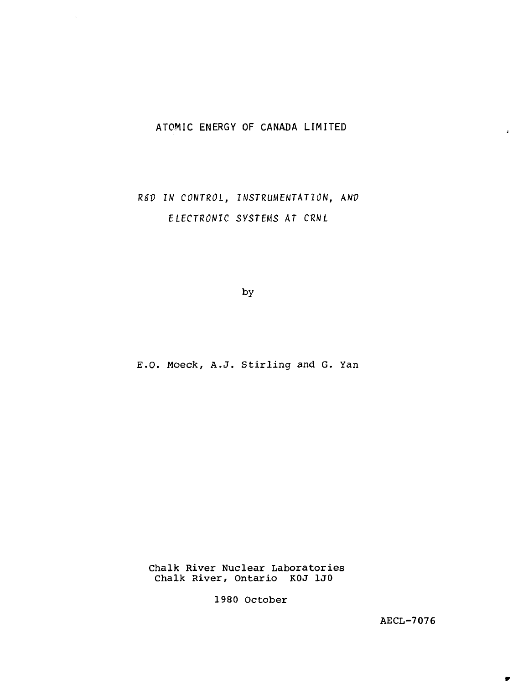# **ATOMIC ENERGY OF CANADA LIMITED**

 $\sim$ 

R&D IN CONTROL, INSTRUMENTATION, AND ELECTRONIC SYSTEMS AT CRNL

by

E.O. Moeck, A.J. Stirling and G. Yan

Chalk River Nuclear Laboratories Chalk River, Ontario KOJ 1J0

1980 October

AECL-7076

 $\pmb{\cdot}$ 

 $\blacktriangleright$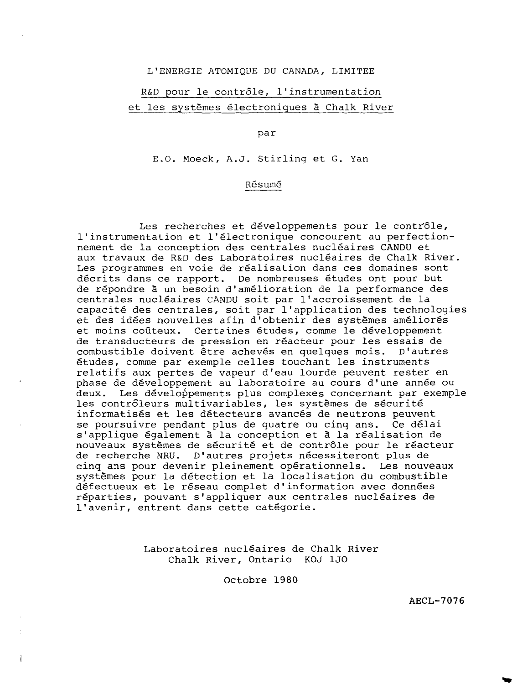L'ENERGIE ATOMIQUE DU CANADA, LIMITEE

# R&D pour le contrôle, l'instrumentation et les systèmes électroniques ä Chalk River

par

E.O. Moeck, A.J. Stirling et G. Yan

## Résumé

Les recherches et développements pour le contrôle, l'instrumentation et l'électronique concourent au perfectionnement de la conception des centrales nucléaires CANDU et aux travaux de R&D des Laboratoires nucléaires de Chalk River. Les programmes en voie de réalisation dans ces domaines sont décrits dans ce rapport. De nombreuses études ont pour but de répondre à un besoin d'amélioration de la performance des centrales nucléaires CANDU soit par l'accroissement de la capacité des centrales, soit par l'application des technologies et des idées nouvelles afin d'obtenir des systèmes améliorés et moins coûteux. Certaines études, comme le développement de transducteurs de pression en réacteur pour les essais de combustible doivent être achevés en quelques mois. D'autres études, comme par exemple celles touchant les instruments relatifs aux pertes de vapeur d'eau lourde peuvent rester en phase de développement au laboratoire au cours d'une année ou deux. Les développements plus complexes concernant par exemple les contrôleurs multivariables, les systèmes de sécurité informatisés et les détecteurs avancés de neutrons peuvent se poursuivre pendant plus de quatre ou cinq ans. Ce délai s'applique également à la conception et à la réalisation de nouveaux systèmes de sécurité et de contrôle pour le réacteur de recherche NRU. D'autres projets nécessiteront plus de cinq ans pour devenir pleinement opérationnels. Les nouveaux systèmes pour la détection et la localisation du combustible défectueux et le réseau complet d'information avec données réparties, pouvant s'appliquer aux centrales nucléaires de l'avenir, entrent dans cette catégorie.

> Laboratoires nucléaires de Chalk River Chalk River, Ontario KOJ 1J0

> > Octobre 1980

AECL-7076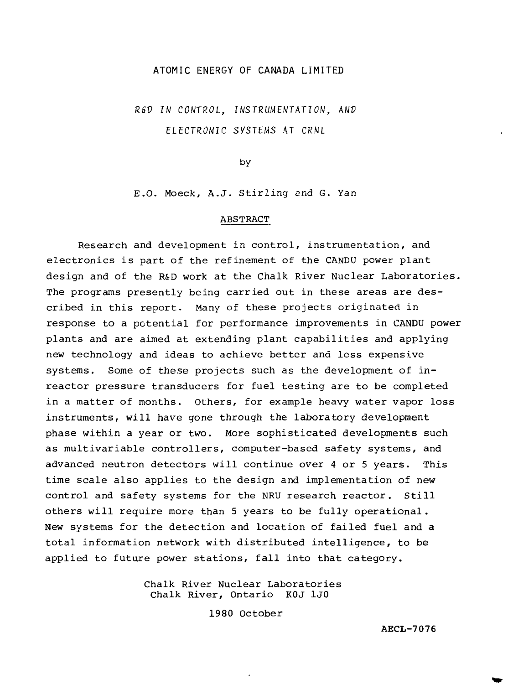# ATOMIC ENERGY OF CANADA LIMITED

R&V IN CONTROL, INSTRUMENTATION, ANV ELECTRONIC SYSTEMS AT CRNL

by

E.O. Moeck, A.J. Stirling and G. Yan

#### ABSTRACT

Research and development in control, instrumentation, and electronics is part of the refinement of the CANDU power plant design and of the R&D work at the Chalk River Nuclear Laboratories. The programs presently being carried out in these areas are described in this report. Many of these projects originated in response to a potential for performance improvements in CANDU power plants and are aimed at extending plant capabilities and applying new technology and ideas to achieve better and less expensive systems. Some of these projects such as the development of inreactor pressure transducers for fuel testing are to be completed in a matter of months. Others, for example heavy water vapor loss instruments, will have gone through the laboratory development phase within a year or two. More sophisticated developments such as multivariable controllers, computer-based safety systems, and advanced neutron detectors will continue over 4 or 5 years. This time scale also applies to the design and implementation of new control and safety systems for the NRU research reactor. Still others will require more than 5 years to be fully operational. New systems for the detection and location of failed fuel and a total information network with distributed intelligence, to be applied to future power stations, fall into that category.

> Chalk River Nuclear Laboratories Chalk River, Ontario K0J 1J0

> > 1980 October

AECL-7076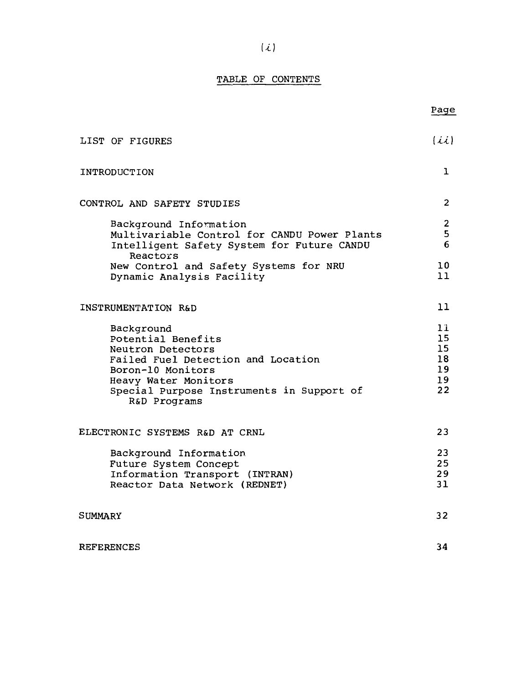# TABLE OF CONTENTS

Page

| LIST OF FIGURES                                                                                                                                                                                       | (ii)                                                              |  |
|-------------------------------------------------------------------------------------------------------------------------------------------------------------------------------------------------------|-------------------------------------------------------------------|--|
| INTRODUCTION                                                                                                                                                                                          |                                                                   |  |
| CONTROL AND SAFETY STUDIES                                                                                                                                                                            | $\overline{2}$                                                    |  |
| Background Information<br>Multivariable Control for CANDU Power Plants<br>Intelligent Safety System for Future CANDU<br>Reactors                                                                      | $\overline{\mathbf{c}}$<br>5<br>6                                 |  |
| New Control and Safety Systems for NRU<br>Dynamic Analysis Facility                                                                                                                                   | 10<br>ו ו                                                         |  |
| INSTRUMENTATION R&D                                                                                                                                                                                   |                                                                   |  |
| Background<br>Potential Benefits<br>Neutron Detectors<br>Failed Fuel Detection and Location<br>Boron-10 Monitors<br>Heavy Water Monitors<br>Special Purpose Instruments in Support of<br>R&D Programs | 11.<br>15 <sub>1</sub><br>15<br>18<br>19<br>19 <sup>°</sup><br>22 |  |
| ELECTRONIC SYSTEMS R&D AT CRNL                                                                                                                                                                        |                                                                   |  |
| Background Information<br>Future System Concept<br>Information Transport (INTRAN)<br>Reactor Data Network (REDNET)                                                                                    | 23<br>25<br>29<br>31                                              |  |
| SUMMARY                                                                                                                                                                                               | 32                                                                |  |
| <b>REFERENCES</b>                                                                                                                                                                                     | 34                                                                |  |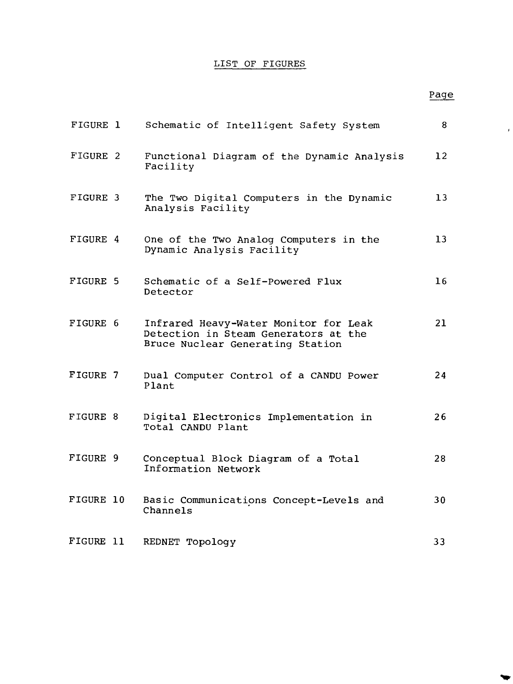# LIST OF FIGURES

# Page

 $\pmb{\cdot}$ 

 $\blacktriangledown$ 

| FIGURE 1  | Schematic of Intelligent Safety System                                                                            | 8                 |
|-----------|-------------------------------------------------------------------------------------------------------------------|-------------------|
| FIGURE 2  | Functional Diagram of the Dynamic Analysis<br>Facility                                                            | $12 \overline{ }$ |
| FIGURE 3  | The Two Digital Computers in the Dynamic<br>Analysis Facility                                                     | 13                |
| FIGURE 4  | One of the Two Analog Computers in the<br>Dynamic Analysis Facility                                               | 13                |
| FIGURE 5  | Schematic of a Self-Powered Flux<br>Detector                                                                      | 16                |
| FIGURE 6  | Infrared Heavy-Water Monitor for Leak<br>Detection in Steam Generators at the<br>Bruce Nuclear Generating Station | 21                |
| FIGURE 7  | Dual Computer Control of a CANDU Power<br>Plant                                                                   | 24                |
| FIGURE 8  | Digital Electronics Implementation in<br>Total CANDU Plant                                                        | 26                |
| FIGURE 9  | Conceptual Block Diagram of a Total<br>Information Network                                                        | 28                |
| FIGURE 10 | Basic Communications Concept-Levels and<br>Channels                                                               | 30                |
| FIGURE 11 | REDNET Topology                                                                                                   | 33                |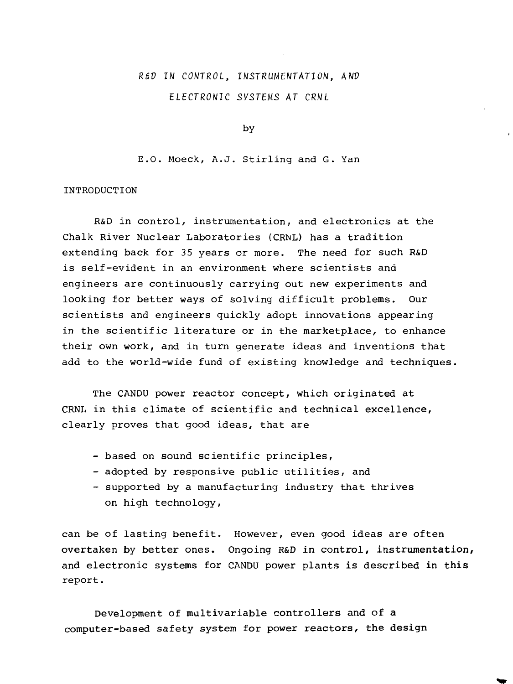# RSV IN CONTROL, INSTRUMENTATION, ANP ELECTRONIC SVSTEHS AT CRNL

by

E.O. Moeck, A.J. Stirling and G. Yan

#### INTRODUCTION

R&D in control, instrumentation, and electronics at the Chalk River Nuclear Laboratories (CRNL) has a tradition extending back for 35 years or more. The need for such R&D is self-evident in an environment where scientists and engineers are continuously carrying out new experiments and looking for better ways of solving difficult problems. Our scientists and engineers quickly adopt innovations appearing in the scientific literature or in the marketplace, to enhance their own work, and in turn generate ideas and inventions that add to the world-wide fund of existing knowledge and techniques.

The CANDU power reactor concept, which originated at CRNL in this climate of scientific and technical excellence, clearly proves that good ideas, that are

- based on sound scientific principles,
- adopted by responsive public utilities, and
- supported by a manufacturing industry that thrives on high technology,

can be of lasting benefit. However, even good ideas are often overtaken by better ones. Ongoing R&D in control, instrumentation, and electronic systems for CANDU power plants is described in this report.

Development of multivariable controllers and of a computer-based safety system for power reactors, the design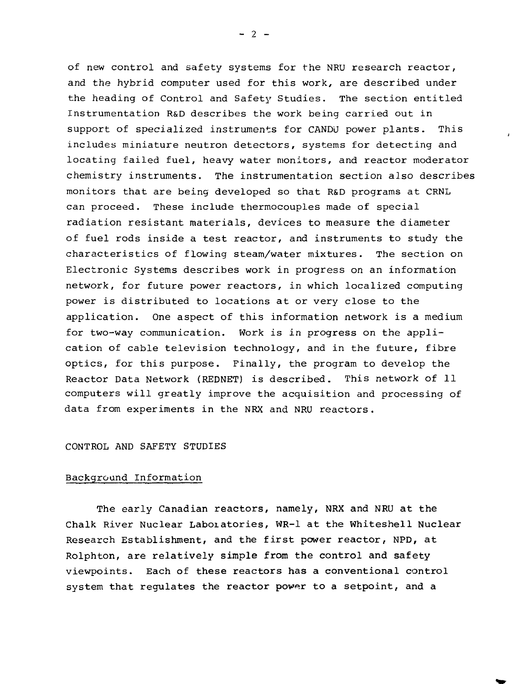of new control and safety systems for the NRU research reactor, and the hybrid computer used for this work, are described under the heading of Control and Safety Studies. The section entitled Instrumentation R&D describes the work being carried out in support of specialized instruments for CANDU power plants. This includes miniature neutron detectors, systems for detecting and locating failed fuel, heavy water monitors, and reactor moderator chemistry instruments. The instrumentation section also describes monitors that are being developed so that R&D programs at CRNL can proceed. These include thermocouples made of special radiation resistant materials, devices to measure the diameter of fuel rods inside a test reactor, and instruments to study the characteristics of flowing steam/water mixtures. The section on Electronic Systems describes work in progress on an information network, for future power reactors, in which localized computing power is distributed to locations at or very close to the application. One aspect of this information network is a medium for two-way communication. Work is in progress on the application of cable television technology, and in the future, fibre optics, for this purpose. Finally, the program to develop the Reactor Data Network (REDNET) is described. This network of 11 computers will greatly improve the acquisition and processing of data from experiments in the NRX and NRU reactors.

#### CONTROL AND SAFETY STUDIES

#### Background Information

The early Canadian reactors, namely, **NRX and NRU at** the Chalk River Nuclear **Laboratories, WR-1 at the Whiteshell Nuclear** Research **Establishment, and the first power reactor, NPD, at** Rolphton, are **relatively simple from the control and safety** viewpoints. **Each of these reactors has a conventional control** system that **regulates the reactor power to a setpoint, and a**

 $- 2 -$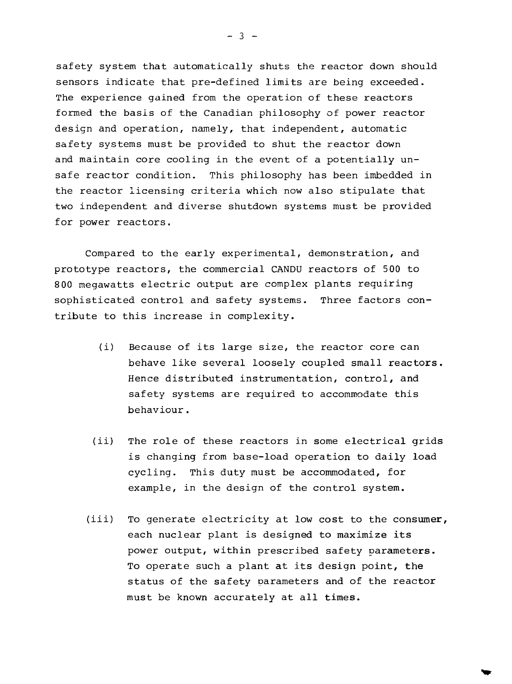safety system that automatically shuts the reactor down should sensors indicate that pre-defined limits are being exceeded. The experience gained from the operation of these reactors formed the basis of the Canadian philosophy of power reactor design and operation, namely, that independent, automatic safety systems must be provided to shut the reactor down and maintain core cooling in the event of a potentially unsafe reactor condition. This philosophy has been imbedded in the reactor licensing criteria which now also stipulate that two independent and diverse shutdown systems must be provided for power reactors.

Compared to the early experimental, demonstration, and prototype reactors, the commercial CANDU reactors of 500 to 800 megawatts electric output are complex plants requiring sophisticated control and safety systems. Three factors contribute to this increase in complexity.

- (i) Because of its large size, the reactor core can behave like several loosely coupled small reactors. Hence distributed instrumentation, control, and safety systems are required to accommodate this behaviour.
- (ii) The role of these reactors in some electrical grids is changing from base-load operation to daily load cycling. This duty must be accommodated, for example, in the design of the control system.
- (iii) To generate electricity at low cost to the consumer, each nuclear plant is designed to maximize its power output, within prescribed safety parameters. To operate such a plant at its design point, the status of the safety parameters and of the reactor must be known accurately at all times.

 $- 3 -$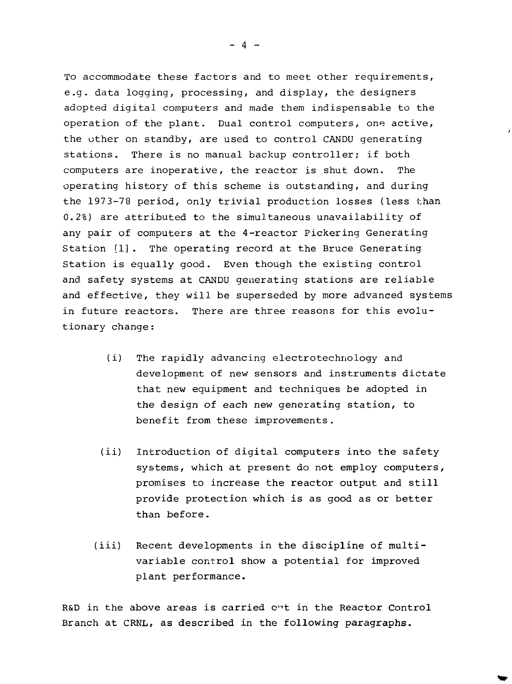To accommodate these factors and to meet other requirements, e.g. data logging, processing, and display, the designers adopted digital computers and made them indispensable to the operation of the plant. Dual control computers, one active, the other on standby, are used to control CANDU generating stations. There is no manual backup controller; if both computers are inoperative, the reactor is shut down. The operating history of this scheme is outstanding, and during the 1973-78 period, only trivial production losses (less than 0.2%) are attributed to the simultaneous unavailability of any pair of computers at the 4-reactor Pickering Generating Station [1] . The operating record at the Bruce Generating Station is equally good. Even though the existing control and safety systems at CANDU generating stations are reliable and effective, they will be superseded by more advanced systems in future reactors. There are three reasons for this evolu $$ tionary change:

- (i) The rapidly advancing electrotechriology and development of new sensors and instruments dictate that new equipment and techniques be adopted in the design of each new generating station, to benefit from these improvements.
- (ii) Introduction of digital computers into the safety systems, which at present do not employ computers, promises to increase the reactor output and still provide protection which is as good as or better than before.
- (iii) Recent developments in the discipline of multivariable control show a potential for improved plant performance.

R&D in the above areas is carried ont in the Reactor Control Branch at CRNL, as described in the following paragraphs.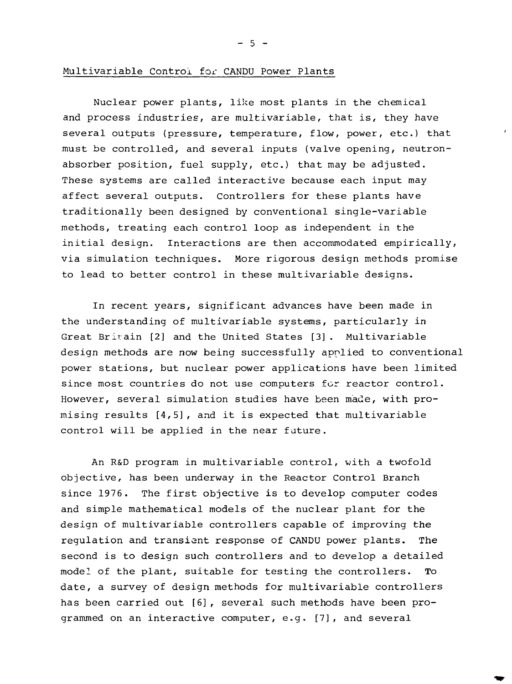$-5 -$ 

## Multivariable Control for CANDU Power Plants

Nuclear power plants, like most plants in the chemical and process industries, are multivariable, that is, they have several outputs (pressure, temperature, flow, power, etc.) that must be controlled, and several inputs (valve opening, neutronabsorber position, fuel supply, etc.) that may be adjusted. These systems are called interactive because each input may affect several outputs. Controllers for these plants have traditionally been designed by conventional single-variable methods, treating each control loop as independent in the initial design. Interactions are then accommodated empirically, via simulation techniques. More rigorous design methods promise to lead to better control in these multivariable designs.

In recent years, significant advances have been made in the understanding of multivariable systems, particularly in Great Britain [2] and the United States [3]. Multivariable design methods are now being successfully applied to conventional power stations, but nuclear power applications have been limited since most countries do not use computers for reactor control. However, several simulation studies have been made, with promising results [4,5], and it is expected that multivariable control will be applied in the near future.

An R&D program in multivariable control, with a twofold objective, has been underway in the Reactor Control Branch since 1976. The first objective is to develop computer codes and simple mathematical models of the nuclear plant for the design of multivariable controllers capable of improving the regulation and transient response of CANDU power plants. The second is to design such controllers and to develop a detailed model of the plant, suitable for testing the controllers. To date, a survey of design methods for multivariable controllers has been carried out [6], several such methods have been programmed on an interactive computer, e.g. [7], and several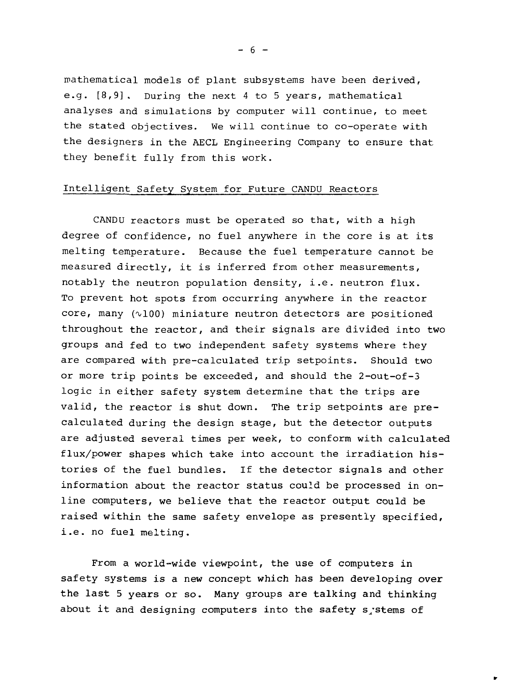mathematical models of plant subsystems have been derived, e.g. [8,9] . During the next 4 to 5 years, mathematical analyses and simulations by computer will continue, to meet the stated objectives. We will continue to co-operate with the designers in the AECL Engineering Company to ensure that they benefit fully from this work.

# Intelligent Safety System for Future CANDU Reactors

CANDU reactors must be operated so that, with a high degree of confidence, no fuel anywhere in the core is at its melting temperature. Because the fuel temperature cannot be measured directly, it is inferred from other measurements, notably the neutron population density, i.e. neutron flux. To prevent hot spots from occurring anywhere in the reactor core, many  $(v100)$  miniature neutron detectors are positioned throughout the reactor, and their signals are divided into two groups and fed to two independent safety systems where they are compared with pre-calculated trip setpoints. Should two or more trip points be exceeded, and should the 2-out-of-3 logic in either safety system determine that the trips are valid, the reactor is shut down. The trip setpoints are precalculated during the design stage, but the detector outputs are adjusted several times per week, to conform with calculated flux/power shapes which take into account the irradiation histories of the fuel bundles. If the detector signals and other information about the reactor status could be processed in online computers, we believe that the reactor output could be raised within the same safety envelope as presently specified, i.e. no fuel melting.

From a world-wide viewpoint, the use of computers in safety systems is a new concept which has been developing over the last 5 years or so. Many groups are talking and thinking about it and designing computers into the safety s<sub>r</sub>stems of

 $- 6 -$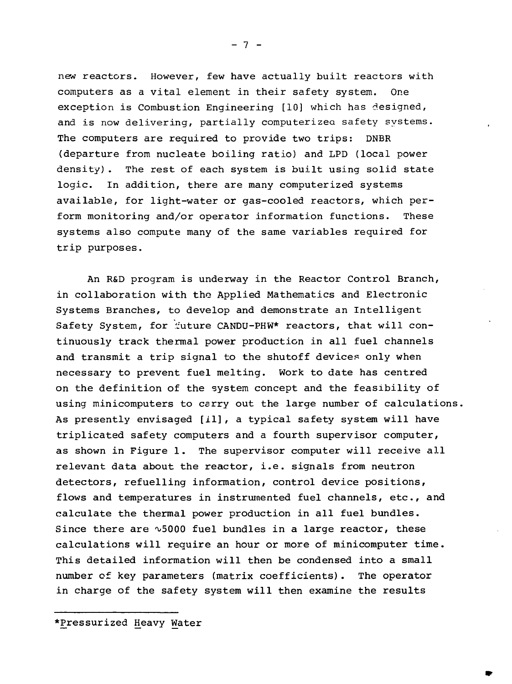new reactors. However, few have actually built reactors with computers as a vital element in their safety system. One exception is Combustion Engineering [10] which has designed, and is now delivering, partially computerized safety systems. The computers are required to provide two trips: DNBR (departure from nucleate boiling ratio) and LPD (local power density). The rest of each system is built using solid state logic. In addition, there are many computerized systems available, for light-water or gas-cooled reactors, which perform monitoring and/or operator information functions. These systems also compute many of the same variables required for trip purposes.

An R&D program is underway in the Reactor Control Branch, in collaboration with the Applied Mathematics and Electronic Systems Branches, to develop and demonstrate an Intelligent Safety System, for future CANDU-PHW\* reactors, that will continuously track thermal power production in all fuel channels and transmit a trip signal to the shutoff devices only when necessary to prevent fuel melting. Work to date has centred on the definition of the system concept and the feasibility of using minicomputers to carry out the large number of calculations. As presently envisaged [il], a typical safety system will have triplicated safety computers and a fourth supervisor computer, as shown in Figure 1. The supervisor computer will receive all relevant data about the reactor, i.e. signals from neutron detectors, refuelling information, control device positions, flows and temperatures in instrumented fuel channels, etc., and calculate the thermal power production in all fuel bundles. Since there are  $\sim$  5000 fuel bundles in a large reactor, these calculations will require an hour or more of minicomputer time. This detailed information will then be condensed into a **small** number of key parameters (matrix coefficients). The operator in charge of the safety system will then examine the results

\*Pressurized Heavy Water

 $- 7 -$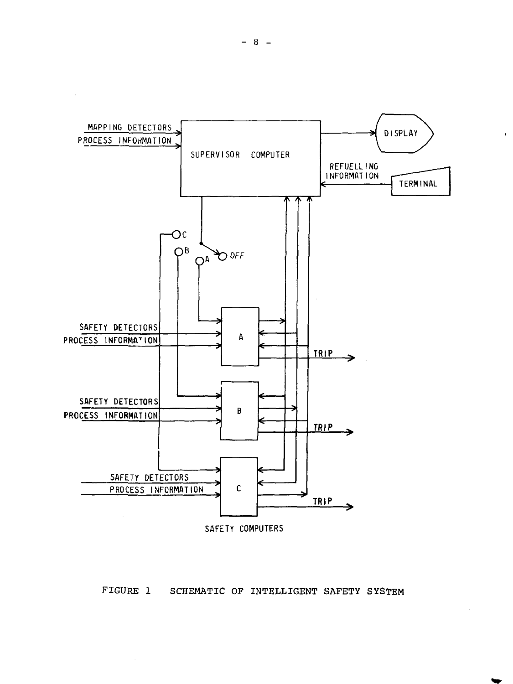

 $\bar{z}$ 



**SAFETY COMPUTERS**

 $\sim$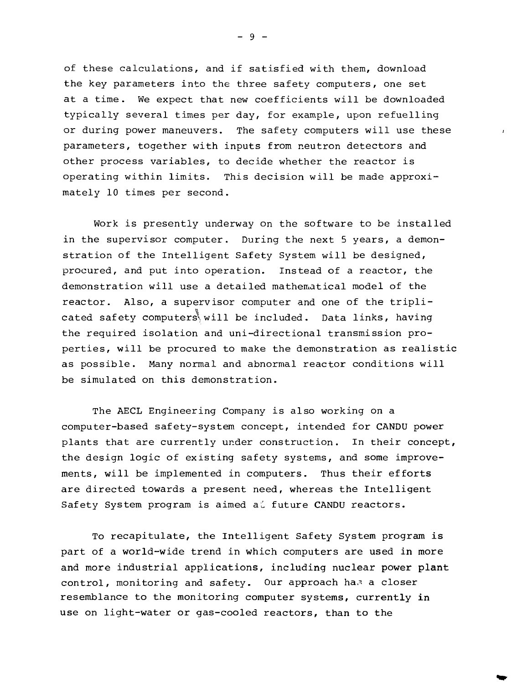of these calculations, and if satisfied with them, download the key parameters into the three safety computers, one set at a time. We expect that new coefficients will be downloaded typically several times per day, for example, upon refuelling or during power maneuvers. The safety computers will use these parameters, together with inputs from neutron detectors and other process variables, to decide whether the reactor is operating within limits. This decision will be made approximately 10 times per second.

Work is presently underway on the software to be installed in the supervisor computer. During the next 5 years, a demonstration of the Intelligent Safety System will be designed, procured, and put into operation. Instead of a reactor, the demonstration will use a detailed mathematical model of the reactor. Also, a supervisor computer and one of the tripli cated safety computers will be included. Data links, having the required isolation and uni-directional transmission properties, will be procured to make the demonstration as realistic as possible. Many normal and abnormal reactor conditions will be simulated on this demonstration.

The AECL Engineering Company is also working on a computer-based safety-system concept, intended for CANDU power plants that are currently under construction. In their concept, the design logic of existing safety systems, and some improvements, will be implemented in computers. Thus their efforts are directed towards a present need, whereas the Intelligent Safety System program is aimed all future CANDU reactors.

To recapitulate, the Intelligent Safety System program is part of a world-wide trend in which computers are used in more and more industrial applications, including nuclear **power plant** control, monitoring and safety. Our approach has a closer resemblance to the monitoring computer systems, currently in use on light-water or gas-cooled reactors, than to the

- 9 -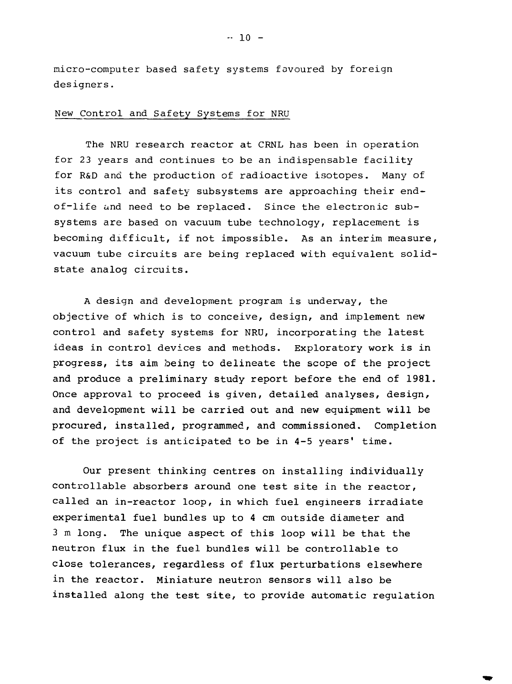micro-computer based safety systems favoured by foreign designers.

# New Control and Safety Systems for NRU

The NRU research reactor at CRNL has been in operation for 23 years and continues to be an indispensable facility for R&D and the production of radioactive isotopes. Many of its control and safety subsystems are approaching their endof-life and need to be replaced. Since the electronic subsystems are based on vacuum tube technology, replacement is becoming difficult, if not impossible. As an interim measure, vacuum tube circuits are being replaced with equivalent solidstate analog circuits.

A design and development program is underway, the objective of which is to conceive, design, and implement new control and safety systems for NRU, incorporating the latest ideas in control devices and methods. Exploratory work is in progress, its aim being to delineate the scope of the project and produce a preliminary study report before the end of 1981. Once approval to proceed is given, detailed analyses, design, and development will be carried out and new equipment will be procured, installed, programmed, and commissioned. Completion of the project is anticipated to be in 4-5 years' time.

Our present thinking centres on installing individually controllable absorbers around one test site in the reactor, called an in-reactor loop, in which fuel engineers irradiate experimental fuel bundles up to 4 cm outside diameter and 3 m long. The unique aspect of this loop will be that the neutron flux in the fuel bundles will be controllable to close tolerances, regardless of flux perturbations elsewhere in the reactor. Miniature neutron sensors will also be installed along the test site, to provide automatic regulation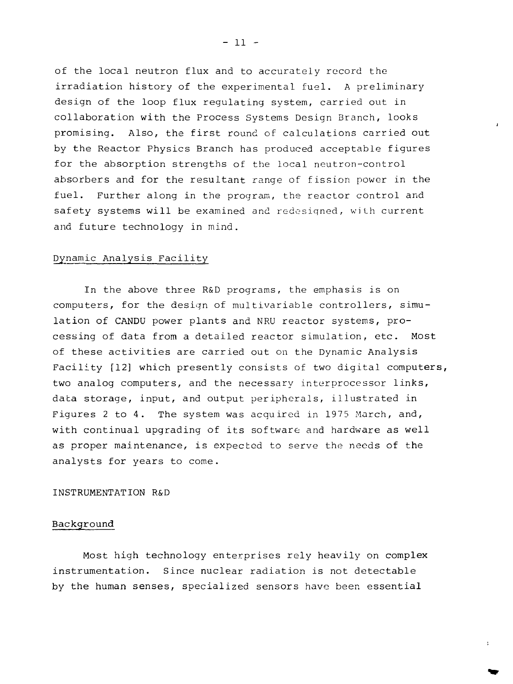of the local neutron flux and to accurately record the irradiation history of the experimental fuel. A preliminary design of the loop flux regulating system, carried out in collaboration with the Process Systems Design Branch, looks promising. Also, the first round of calculations carried out by the Reactor Physics Branch has produced acceptable figures for the absorption strengths of the local neutron-control absorbers and for the resultant range of fission power in the fuel. Further along in the program, the reactor control and safety systems will be examined and redesigned, with current and future technology in mind.

# Dynamic Analysis Facility

In the above three R&D programs, the emphasis is on computers, for the design of multivariable controllers, simulation of CANDU power plants and NRU reactor systems, processing of data from a detailed reactor simulation, etc. Most of these activities are carried out on the Dynamic Analysis Facility [12] which presently consists of two digital computers, two analog computers, and the necessary interprocessor links, data storage, input, and output peripherals, illustrated in Figures 2 to 4. The system was acquired in 1975 March, and, with continual upgrading of its software and hardware as well as proper maintenance, is expected to serve the needs of the analysts for years to come.

## INSTRUMENTATION R&D

# Background

Most high technology enterprises rely heavily on complex instrumentation. Since nuclear radiation is not detectable by the human senses, specialized sensors have been essential

 $-11 -$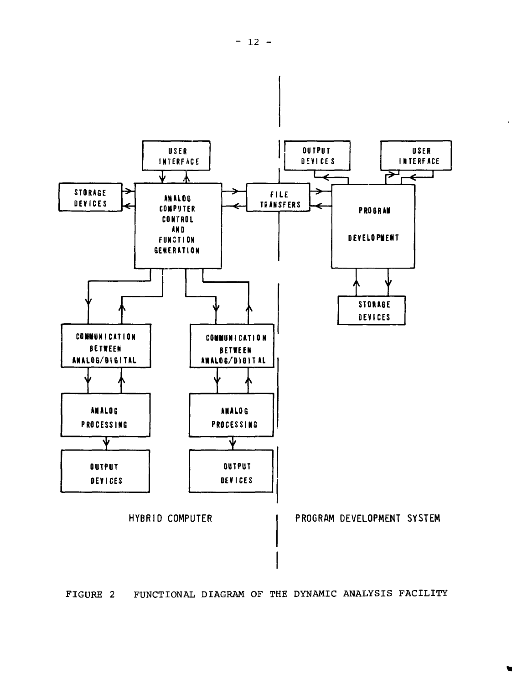

FIGURE 2 FUNCTIONAL DIAGRAM OF THE DYNAMIC ANALYSIS FACILITY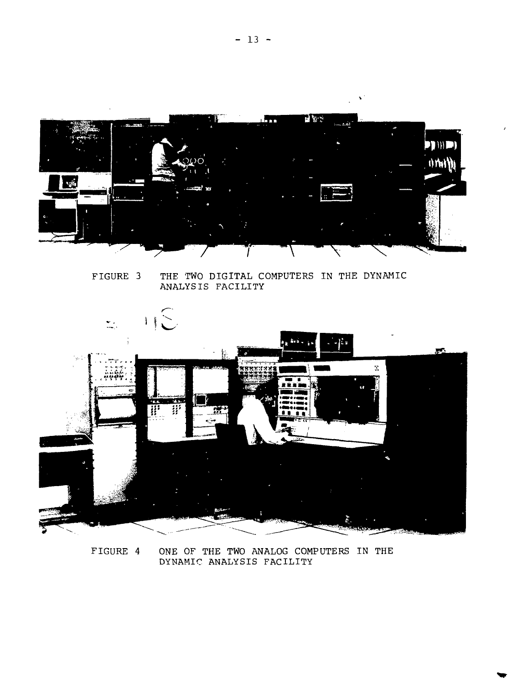

FIGURE 3 THE TWO DIGITAL COMPUTERS IN THE DYNAMIC ANALYSIS FACILITY



FIGURE 4 ONE OF THE TWO ANALOG COMPUTERS IN THE DYNAMIC ANALYSIS FACILITY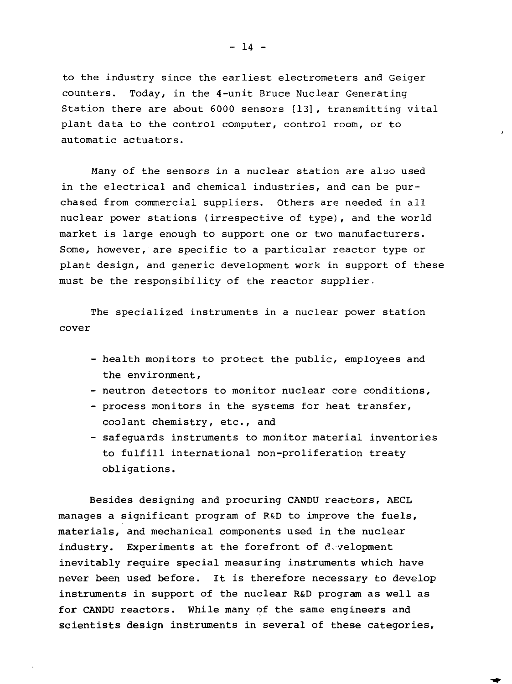to the industry since the earliest electrometers and Geiger counters. Today, in the 4-unit Bruce Nuclear Generating Station there are about 6000 sensors [13], transmitting vital plant data to the control computer, control room, or to automatic actuators.

Many of the sensors in a nuclear station are also used in the electrical and chemical industries, and can be purchased from commercial suppliers. Others are needed in all nuclear power stations (irrespective of type), and the world market is large enough to support one or two manufacturers. Some, however, are specific to a particular reactor type or plant design, and generic development work in support of these must be the responsibility of the reactor supplier.

The specialized instruments in a nuclear power station cover

- health monitors to protect the public, employees and the environment,
- neutron detectors to monitor nuclear core conditions,
- process monitors in the systems for heat transfer, coolant chemistry, etc., and
- safeguards instruments to monitor material inventories to fulfill international non-proliferation treaty obligations.

Besides designing and procuring CANDU reactors, AECL manages a significant program of RSD to improve the fuels, materials, and mechanical components used in the nuclear industry. Experiments at the forefront of d.velopment inevitably require special measuring instruments which have never been used before. It is therefore necessary to develop instruments in support of the nuclear R&D program as well as for CANDU reactors. While many of the same engineers and scientists design instruments in several of these categories.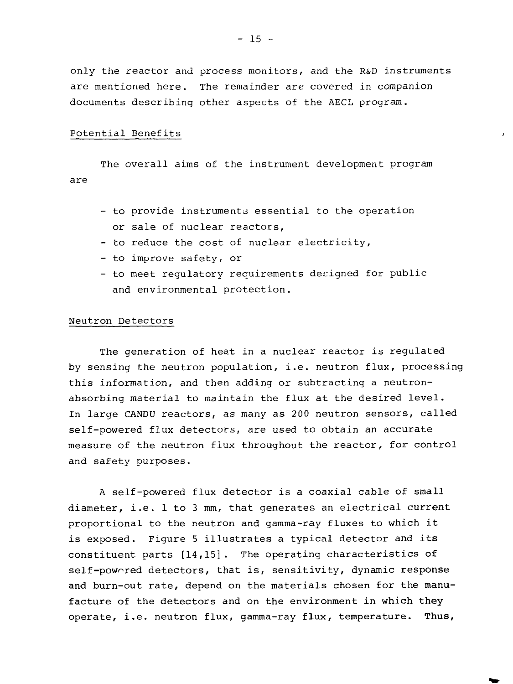only the reactor and process monitors, and the R&D instruments are mentioned here. The remainder are covered in companion documents describing other aspects of the AECL program.

#### Potential Benefits

The overall aims of the instrument development program are

- to provide instruments essential to the operation or sale of nuclear reactors,
- to reduce the cost of nuclear electricity,
- to improve safety, or
- to meet regulatory requirements designed for public and environmental protection.

#### Neutron Detectors

The generation of heat in a nuclear reactor is regulated by sensing the neutron population, i.e. neutron flux, processing this information, and then adding or subtracting a neutronabsorbing material to maintain the flux at the desired level. In large CANDU reactors, as many as 200 neutron sensors, called self-powered flux detectors, are used to obtain an accurate measure of the neutron flux throughout the reactor, for control and safety purposes.

A self-powered flux detector is a coaxial cable of small diameter, i.e. 1 to 3 mm, that generates an electrical current proportional to the neutron and gamma-ray fluxes to which it is exposed. Figure 5 illustrates a typical detector and its constituent parts [14,15]. The operating characteristics of self-powored detectors, that is, sensitivity, dynamic response and burn-out rate, depend on the materials chosen for the manufacture of the detectors and on the environment in which they operate, i.e. neutron flux, gamma-ray flux, temperature. Thus,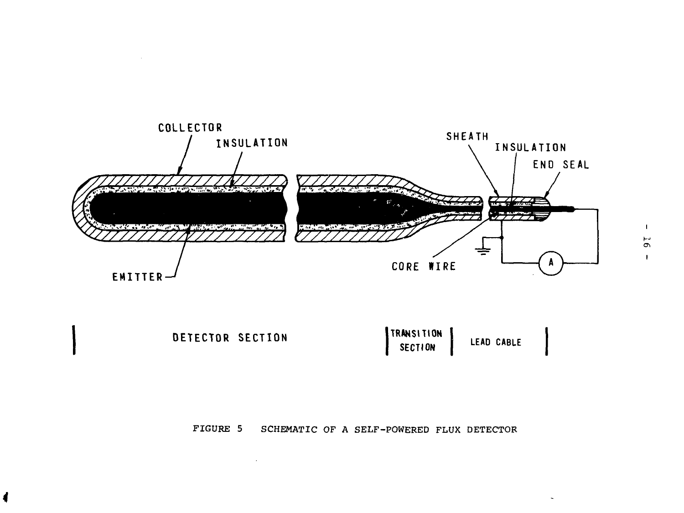

 $\sim 10^{-1}$ 



# FIGURE 5 SCHEMATIC OF A SELF-POWERED FLUX DETECTOR

 $\mathcal{L}^{\text{max}}_{\text{max}}$  and  $\mathcal{L}^{\text{max}}_{\text{max}}$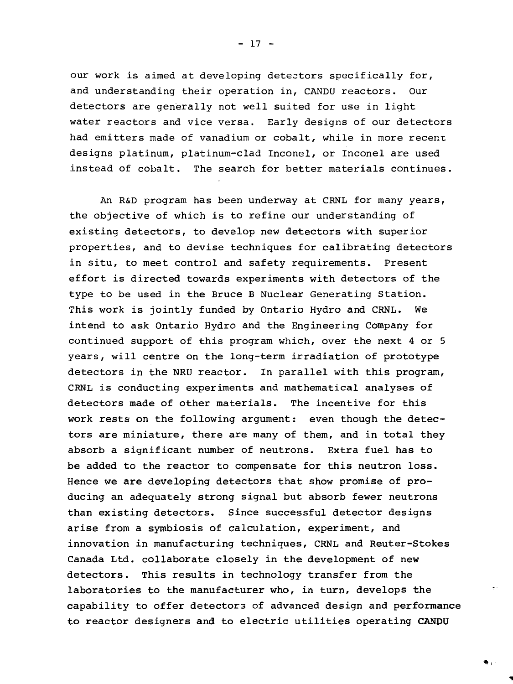our work is aimed at developing detectors specifically for, and understanding their operation in, CANDU reactors. Our detectors are generally not well suited for use in light water reactors and vice versa. Early designs of our detectors had emitters made of vanadium or cobalt, while in more recent designs platinum, platinum-clad Inconel, or Inconel are used instead of cobalt. The search for better materials continues.

An R&D program has been underway at CRNL for many years, the objective of which is to refine our understanding of existing detectors, to develop new detectors with superior properties, and to devise techniques for calibrating detectors in situ, to meet control and safety requirements. Present effort is directed towards experiments with detectors of the type to be used in the Bruce B Nuclear Generating Station. This work is jointly funded by Ontario Hydro and CRNL. We intend to ask Ontario Hydro and the Engineering Company for continued support of this program which, over the next 4 or 5 years, will centre on the long-term irradiation of prototype detectors in the NRU reactor. In parallel with this program, CRNL is conducting experiments and mathematical analyses of detectors made of other materials. The incentive for this work rests on the following argument: even though the detectors are miniature, there are many of them, and in total they absorb a significant number of neutrons. Extra fuel has to be added to the reactor to compensate for this neutron loss. Hence we are developing detectors that show promise of producing an adequately strong signal but absorb fewer neutrons than existing detectors. Since successful detector designs arise from a symbiosis of calculation, experiment, and innovation in manufacturing techniques, CRNL and Reuter-Stokes Canada Ltd. collaborate closely in the development of new detectors. This results in technology transfer from the laboratories to the manufacturer who, in turn, develops the capability to offer detectors of advanced design and performance to reactor designers and to electric utilities operating CANDU

η.

 $- 17 -$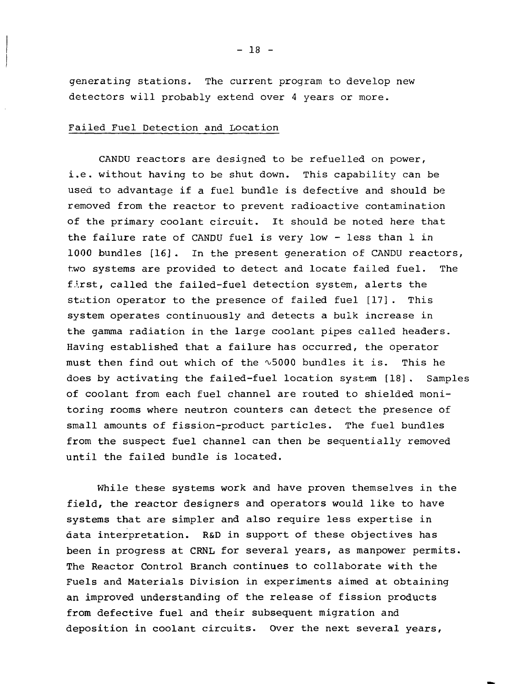generating stations. The current program to develop new detectors will probably extend over 4 years or more.

# Failed Fuel Detection and Location

CANDU reactors are designed to be refuelled on power, i.e. without having to be shut down. This capability can be used to advantage if a fuel bundle is defective and should be removed from the reactor to prevent radioactive contamination of the primary coolant circuit. It should be noted here that the failure rate of CANDU fuel is very low - less than 1 in 1000 bundles [16J. In the present generation of CANDU reactors, two systems are provided to detect and locate failed fuel. The fj.rst, called the failed-fuel detection system, alerts the station operator to the presence of failed fuel [17]. This system operates continuously and detects a bulk increase in the gamma radiation in the large coolant pipes called headers. Having established that a failure has occurred, the operator must then find out which of the  $\sim$ 5000 bundles it is. This he does by activating the failed-fuel location system [18]. Samples of coolant from each fuel channel are routed to shielded monitoring rooms where neutron counters can detect the presence of small amounts of fission-product particles. The fuel bundles from the suspect fuel channel can then be sequentially removed until the failed bundle is located.

While these systems work and have proven themselves in the field, the reactor designers and operators would like to have systems that are simpler and also require less expertise in data interpretation. R&D in support of these objectives has been in progress at CRNL for several years, as manpower permits. The Reactor Control Branch continues to collaborate with the Fuels and Materials Division in experiments aimed at obtaining an improved understanding of the release of fission products from defective fuel and their subsequent migration and deposition in coolant circuits. Over the next several years,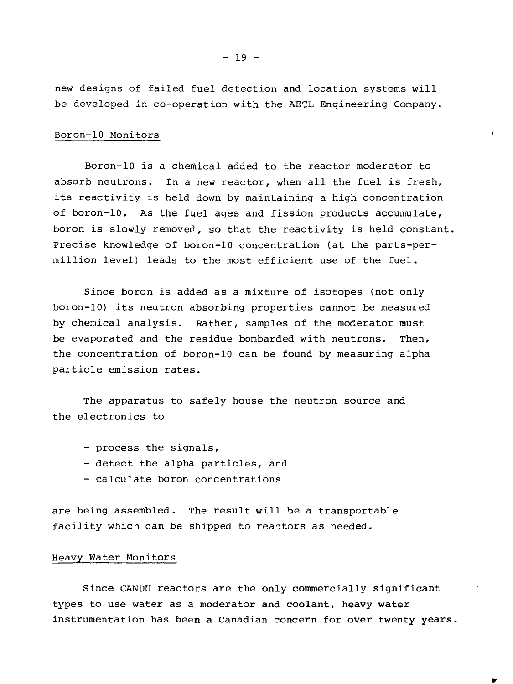new designs of failed fuel detection and location systems will be developed in co-operation with the AECL Engineering Company.

## Boron-10 Monitors

Boron-10 is a chemical added to the reactor moderator to absorb neutrons. In a new reactor, when all the fuel is fresh, its reactivity is held down by maintaining a high concentration of boron-10. As the fuel ages and fission products accumulate, boron is slowly removed, so that the reactivity is held constant. Precise knowledge of boron-10 concentration (at the parts-permillion level) leads to the most efficient use of the fuel.

Since boron is added as a mixture of isotopes (not only boron-10) its neutron absorbing properties cannot be measured by chemical analysis. Rather, samples of the moderator must be evaporated and the residue bombarded with neutrons. Then, the concentration of boron-10 can be found by measuring alpha particle emission rates.

The apparatus to safely house the neutron source and the electronics to

- process the signals,
- detect the alpha particles, and
- calculate boron concentrations

are being assembled. The result will be a transportable facility which can be shipped to reactors as needed.

#### Heavy Water Monitors

Since CANDU reactors are the only commercially significant types to use water as a moderator and coolant, heavy water instrumentation has been a Canadian concern for over twenty years.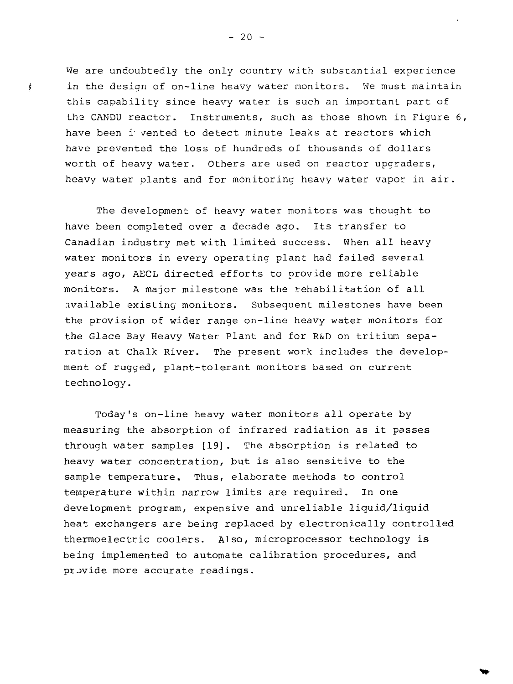We are undoubtedly the only country with substantial experience in the design of on-line heavy water monitors. We must maintain this capability since heavy water is such an important part of the CANDU reactor. Instruments, such as those shown in Figure 6, have been i' vented to detect minute leaks at reactors which have prevented the loss of hundreds of thousands of dollars worth of heavy water. Others are used on reactor upgraders, heavy water plants and for monitoring heavy water vapor in air.

The development of heavy water monitors was thought to have been completed over a decade ago. Its transfer to Canadian industry met with limited success. When all heavy water monitors in every operating plant had failed several years ago, AECL directed efforts to provide more reliable monitors. A major milestone was the rehabilitation of all .ivailable existing monitors. Subsequent milestones have been the provision of wider range on-line heavy water monitors for the Glace Bay Heavy Water Plant and for R&D on tritium separation at Chalk River. The present work includes the development of rugged, plant-tolerant monitors based on current technology.

Today's on-line heavy water monitors all operate by measuring the absorption of infrared radiation as it passes through water samples [19]. The absorption is related to heavy water concentration, but is also sensitive to the sample temperature. Thus, elaborate methods to control temperature within narrow limits are required. In one development program, expensive and unreliable liquid/liquid heat exchangers are being replaced by electronically controlled thermoelectric coolers. Also, microprocessor technology is being implemented to automate calibration procedures, and provide more accurate readings.

 $- 20 -$ 

j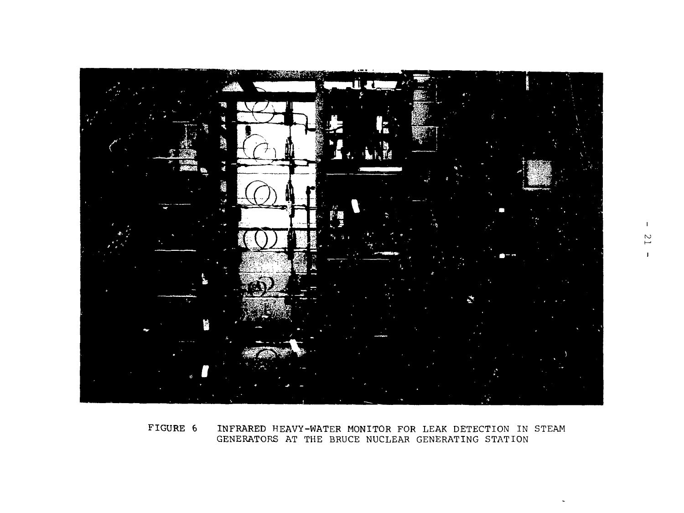

FIGURE 6 INFRARED HEAVY-WATER MONITOR FOR LEAK DETECTION IN STEAM GENERATORS AT THE BRUCE NUCLEAR GENERATING STATION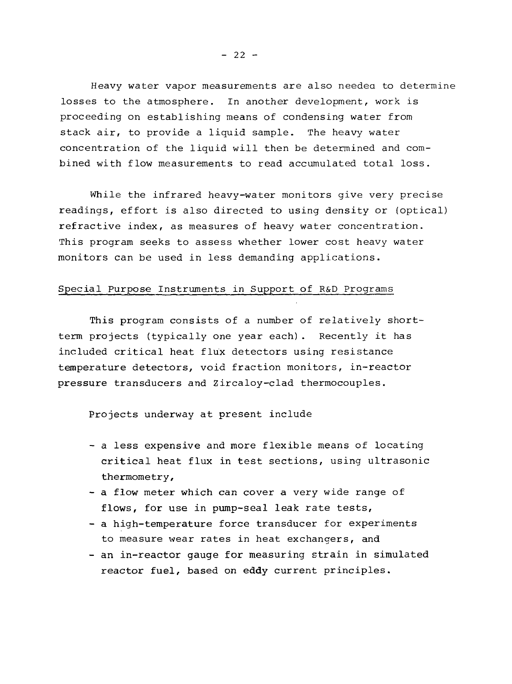Heavy water vapor measurements are also needea to determine losses to the atmosphere. In another development, work is proceeding on establishing means of condensing water from stack air, to provide a liquid sample. The heavy water concentration of the liquid will then be determined and combined with flow measurements to read accumulated total loss.

While the infrared heavy-water monitors give very precise readings, effort is also directed to using density or (optical) refractive index, as measures of heavy water concentration. This program seeks to assess whether lower cost heavy water monitors can be used in less demanding applications.

# Special Purpose Instruments in Support of R&D Programs

This program consists of a number of relatively shortterm projects (typically one year each). Recently it has included critical heat flux detectors using resistance temperature detectors, void fraction monitors, in-reactor pressure transducers and Zircaloy-clad thermocouples.

Projects underway at present include

- a less expensive and more flexible means of locating critical heat flux in test sections, using ultrasonic thermometry,
- a flow meter which can cover a very wide range of flows, for use in pump-seal leak rate tests,
- a high-temperature force transducer for experiments to measure wear rates in heat exchangers, and
- an in-reactor gauge for measuring strain in simulated reactor fuel, based on eddy current principles.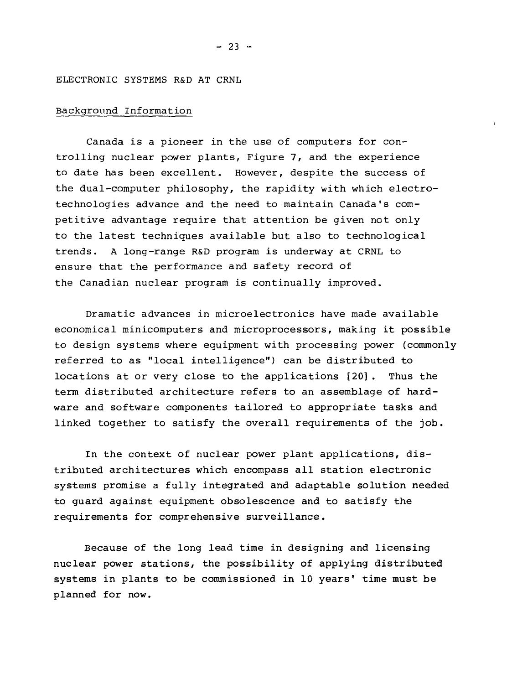## ELECTRONIC SYSTEMS R&D AT CRNL

# Background Information

Canada is a pioneer in the use of computers for controlling nuclear power plants, Figure 7, and the experience to date has been excellent. However, despite the success of the dual-computer philosophy, the rapidity with which electrotechnologies advance and the need to maintain Canada's competitive advantage require that attention be given net only to the latest techniques available but also to technological trends. A long-range R&D program is underway at CRNL to ensure that the performance and safety record of the Canadian nuclear program is continually improved.

Dramatic advances in microelectronics have made available economical minicomputers and microprocessors, making it possible to design systems where equipment with processing power (commonly referred to as "local intelligence") can be distributed to locations at or very close to the applications [20]. Thus the term distributed architecture refers to an assemblage of hardware and software components tailored to appropriate tasks and linked together to satisfy the overall requirements of the job.

In the context of nuclear power plant applications, distributed architectures which encompass all station electronic systems promise a fully integrated and adaptable solution needed to guard against equipment obsolescence and to satisfy the requirements for comprehensive surveillance.

Because of the long lead time in designing and licensing nuclear power stations, the possibility of applying distributed systems in plants to be commissioned in 10 years' time must be planned for now.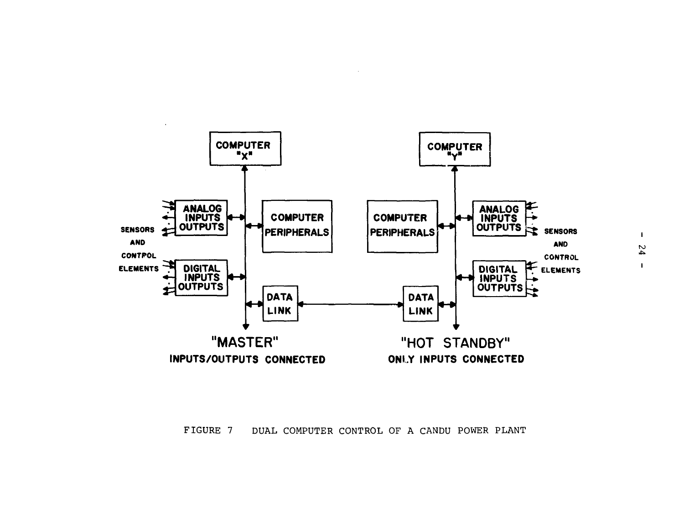

FIGURE 7 DUAL COMPUTER CONTROL OF A CANDU POWER PLANT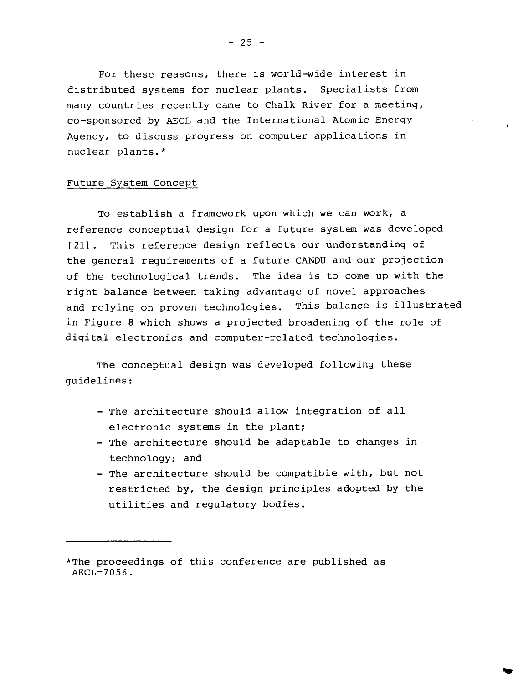For these reasons, there is world-wide interest in distributed systems for nuclear plants. Specialists from many countries recently came to Chalk River for a meeting, co-sponsored by AECL and the International Atomic Energy Agency, to discuss progress on computer applications in nuclear plants.\*

### Future System Concept

To establish a framework upon which we can work, a reference conceptual design for a future system was developed [21]. This reference design reflects our understanding of the general requirements of a future CANDU and our projection of the technological trends. The idea is to come up with the right balance between taking advantage of novel approaches and relying on proven technologies. This balance is illustrated in Figure 8 which shows a projected broadening of the role of digital electronics and computer-related technologies.

The conceptual design was developed following these guidelines:

- The architecture should allow integration of all electronic systems in the plant;
- The architecture should be adaptable to changes in technology; and
- The architecture should be compatible with, but not restricted by, the design principles adopted by the utilities and regulatory bodies.

<sup>\*</sup>The proceedings of this conference are published as AECL-7056.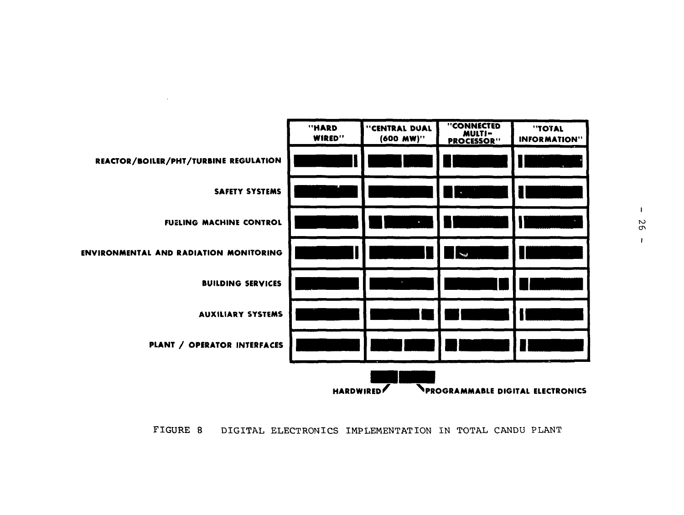

FIGURE 8 DIGITAL ELECTRONICS IMPLEMENTATION IN TOTAL CANDU PLANT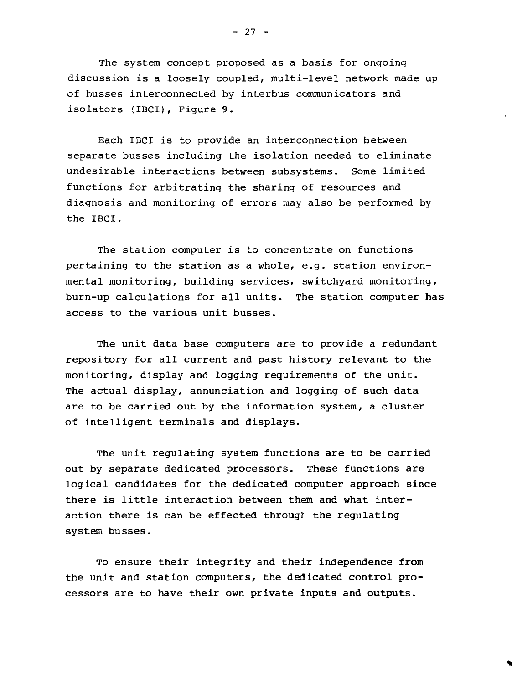The system concept proposed as a basis for ongoing discussion is a loosely coupled, multi-level network made up of busses interconnected by interbus communicators and isolators (IBCI), Figure 9.

Each IBCI is to provide an interconnection between separate busses including the isolation needed to eliminate undesirable interactions between subsystems. Some limited functions for arbitrating the sharing of resources and diagnosis and monitoring of errors may also be performed by the IBCI.

The station computer is to concentrate on functions pertaining to the station as a whole, e.g. station environmental monitoring, building services, switchyard monitoring, burn-up calculations for all units. The station computer has access to the various unit busses.

The unit data base computers are to provide a redundant repository for all current and past history relevant to the monitoring, display and logging requirements of the unit. The actual display, annunciation and logging of such data are to be carried out by the information system, a cluster of intelligent terminals and displays.

The unit regulating system functions are to be carried out by separate dedicated processors. These functions are logical candidates for the dedicated computer approach since there is little interaction between them and what interaction there is can be effected through the regulating system busses.

To ensure their integrity and their independence from the unit and station computers, the dedicated control processors are to have their own private inputs and outputs.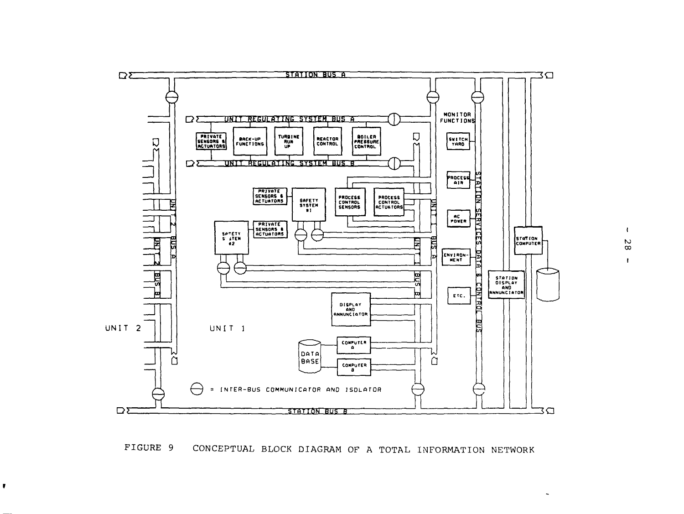

# FIGURE 9 CONCEPTUAL BLOCK DIAGRAM OF A TOTAL INFORMATION NETWORK

 $\pmb{\mathbb{F}}$ 

 $\mathbf{I}$ 00  $\mathbf{I}$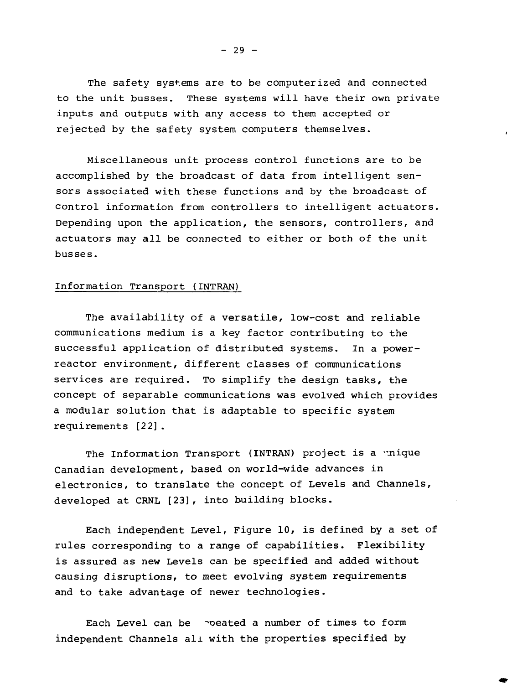The safety systems are to be computerized and connected to the unit busses. These systems will have their own private inputs and outputs with any access to them accepted or rejected by the safety system computers themselves.

Miscellaneous unit process control functions are to be accomplished by the broadcast of data from intelligent sensors associated with these functions and by the broadcast of control information from controllers to intelligent actuators. Depending upon the application, the sensors, controllers, and actuators may all be connected to either or both of the unit busses.

# Information Transport (INTRAN)

The availability of a versatile, low-cost and reliable communications medium is a key factor contributing to the successful application of distributed systems. In a powerreactor environment, different classes of communications services are required. To simplify the design tasks, the concept of separable communications was evolved which provides a modular solution that is adaptable to specific system requirements [22].

The Information Transport (INTRAN) project is a unique Canadian development, based on world-wide advances in electronics, to translate the concept of Levels and Channels, developed at CRNL [23], into building blocks.

Each independent Level, Figure 10, is defined by a set of rules corresponding to a range of capabilities. Flexibility is assured as new Levels can be specified and added without causing disruptions, to meet evolving system requirements and to take advantage of newer technologies.

Each Level can be poeated a number of times to form independent Channels all with the properties specified by

 $- 29 -$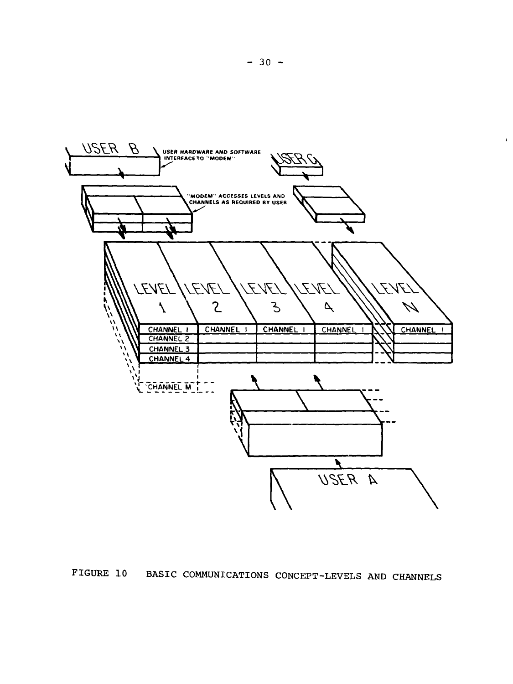

FIGURE 10 BASIC COMMUNICATIONS CONCEPT-LEVELS AND CHANNELS

**- 30 -**

 $\pmb{\cdot}$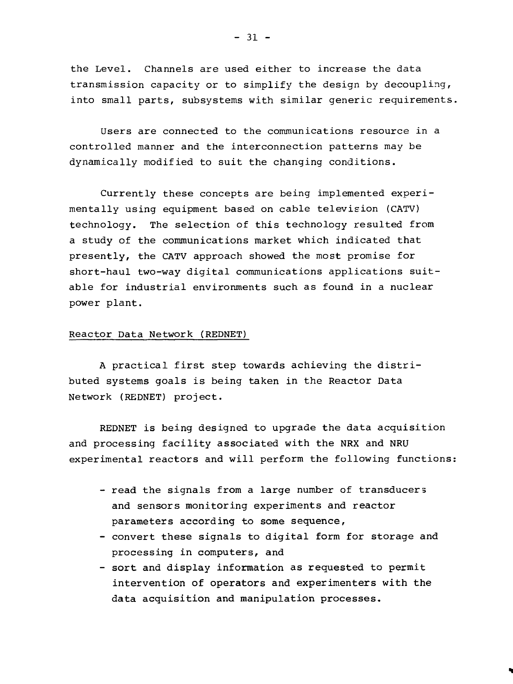the Level. Channels are used either to increase the data transmission capacity or to simplify the design by decoupling, into small parts, subsystems with similar generic requirements.

Users are connected to the communications resource in a controlled manner and the interconnection patterns may be dynamically modified to suit the changing conditions.

Currently these concepts are being implemented experimentally using equipment based on cable television (CATV) technology. The selection of this technology resulted from a study of the communications market which indicated that presently, the CATV approach showed the most promise for short-haul two-way digital communications applications suitable for industrial environments such as found in a nuclear power plant.

#### Reactor Data Network (REDNET)

A practical first step towards achieving the distributed systems goals is being taken in the Reactor Data Network (REDNET) project.

REDNET is being designed to upgrade the data acquisition and processing facility associated with the NRX and NRU experimental reactors and will perform the following functions:

- read the signals from a large number of transducers and sensors monitoring experiments and reactor parameters according to some sequence,
- convert these signals to digital form for storage and processing in computers, and
- sort and display information as requested to permit intervention of operators and experimenters with the data acquisition and manipulation processes.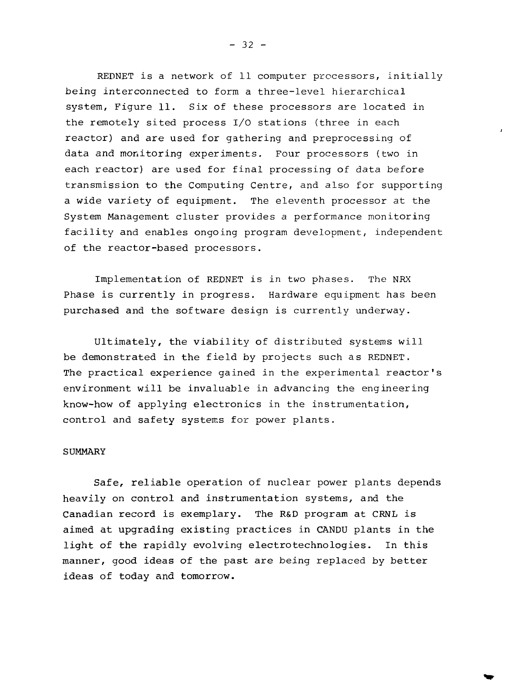REDNET is a network of 11 computer processors, initially being interconnected to form a three-level hierarchical system, Figure 11. Six of these processors are located in the remotely sited process I/O stations (three in each reactor) and are used for gathering and preprocessing of data and monitoring experiments. Four processors (two in each reactor) are used for final processing of data before transmission to the Computing Centre, and also for supporting a wide variety of equipment. The eleventh processor at the System Management cluster provides a performance monitoring facility and enables ongoing program development, independent of the reactor-based processors.

Implementation of REDNET is in two phases. The NRX Phase is currently in progress. Hardware equipment has been purchased and the software design is currently underway.

Ultimately, the viability of distributed systems will be demonstrated in the field by projects such as REDNET. The practical experience gained in the experimental reactor's environment will be invaluable in advancing the engineering know-how of applying electronics in the instrumentation, control and safety systems for power plants.

#### **SUMMARY**

Safe, reliable operation of nuclear power plants depends heavily on control and instrumentation systems, and the Canadian record is exemplary. The R&D program at CRNL is aimed at upgrading existing practices in CANDU plants in the light of the rapidly evolving electrotechnologies. In this manner, good ideas of the past are being replaced by better ideas of today and tomorrow.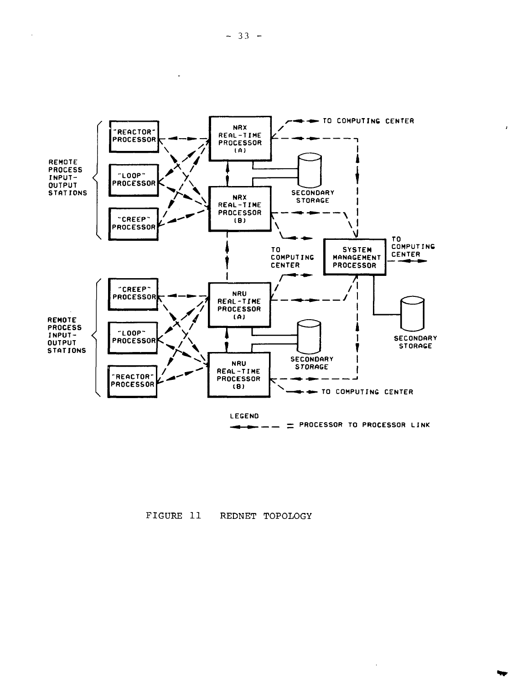



 $\lambda$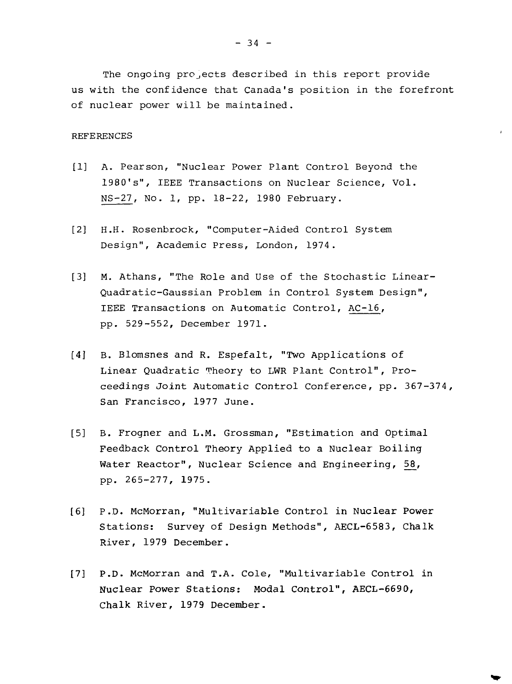The ongoing projects described in this report provide us with the confidence that Canada's position in the forefront of nuclear power will be maintained.

#### **REFERENCES**

- [1] A. Pearson, "Nuclear Power Plant Control Beyond the 1980's", IEEE Transactions on Nuclear Science, Vol. NS-27, No. 1, pp. 18-22, 1980 February.
- [2] H.H. Rosenbrock, "Computer-Aided Control System Design", Academic Press, London, 1974.
- [3] M. Athans, "The Role and Use of the Stochastic Linear-Quadratic-Gaussian Problem in Control System Design", IEEE Transactions on Automatic Control, AC-16, pp. 529-552, December 1971.
- [4] B. Blomsnes and R. Espefalt, "Two Applications of Linear Quadratic Theory to LWR Plant Control", Proceedings Joint Automatic Control Conference, pp. 367-374, San Francisco, 1977 June.
- [5] B. Frogner and L.M. Grossman, "Estimation and Optimal Feedback Control Theory Applied to a Nuclear Boiling Water Reactor", Nuclear Science and Engineering, 58, pp. 265-277, 1975.
- [6] P.D. McMorran, "Multivariable Control in Nuclear Power Stations: Survey of Design Methods", AECL-6583, Chalk River, 1979 December.
- [7] P.D. McMorran and T.A. Cole, "Multivariable Control in Nuclear Power Stations: Modal Control", AECL-6690, Chalk River, 1979 December.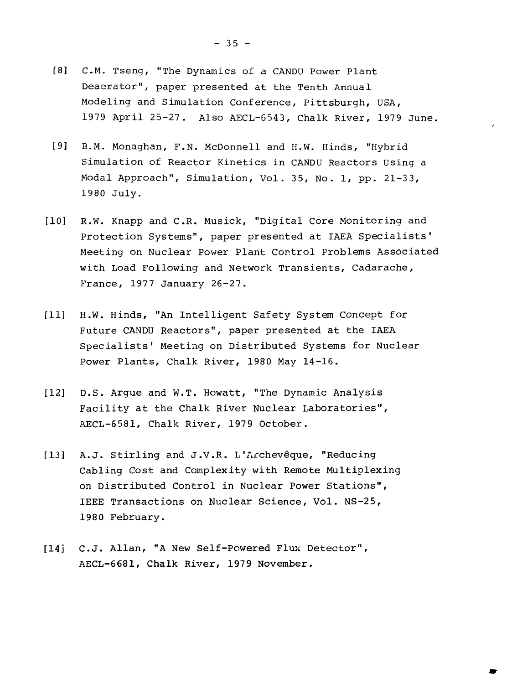- [8] C.M. Tseng, "The Dynamics of a CANDU Power Plant Deaerator", paper presented at the Tenth Annual Modeling and Simulation Conference, Pittsburgh, USA, 1979 April 25-27. Also AECL-6543, Chalk River, 1979 June.
- [9] B.M. Monaghan, F.N. McDonnell and H.W. Hinds, "Hybrid Simulation of Reactor Kinetics in CANDU Reactors Using a Modal Approach", Simulation, Vol. 35, No. 1, pp. 21-33, 1980 July.
- [10] R.W. Knapp and C.R. Musick, "Digital Core Monitoring and Protection Systems", paper presented at IAEA Specialists' Meeting on Nuclear Power Plant Control Problems Associated with Load Following and Network Transients, Cadarache, France, 1977 January 26-27.
- [11] H.W. Hinds, "An Intelligent Safety System Concept for Future CANDU Reactors", paper presented at the IAEA Specialists' Meeting on Distributed Systems for Nuclear Power Plants, Chalk River, 1980 May 14-16.
- [12] D.S. Argue and W.T. Howatt, "The Dynamic Analysis Facility at the Chalk River Nuclear Laboratories", AECL-6581, Chalk River, 1979 October.
- [13] A.J. Stirling and J.V.R. L'Archevêque, "Reducing Cabling Cost and Complexity with Remote Multiplexing on Distributed Control in Nuclear Power Stations", IEEE Transactions on Nuclear Science, Vol. NS-25, 1980 February.
- [14] C.J. Allan, "A New Self-Powered Flux Detector", AECL-6681, Chalk River, 1979 November.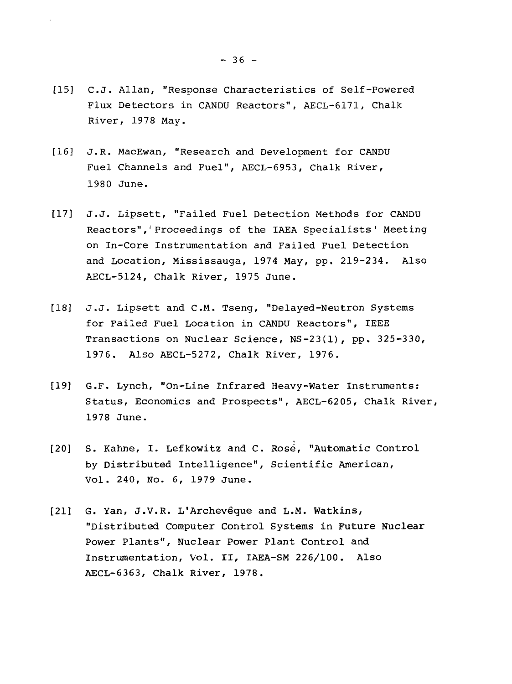- [15] C.J. Allan, "Response Characteristics of Self-Powered Flux Detectors in CANDU Reactors", AECL-6171, Chalk River, 1978 May.
- [16] J.R. MacEwan, "Research and Development for CANDU Fuel Channels and Fuel", AECL-6953, Chalk River, 1980 June.
- [17] J.J. Lipsett, "Failed Fuel Detection Methods for CANDU Reactors",'Proceedings of the IAEA Specialists' Meeting on In-Core Instrumentation and Failed Fuel Detection and Location, Mississauga, 1974 May, pp. 219-234. Also AECL-5124, Chalk River, 1975 June.
- [18] J.J. Lipsett and C.M. Tseng, "Delayed-Neutron Systems for Failed Fuel Location in CANDU Reactors", IEEE Transactions on Nuclear Science, NS-23(1), pp. 325-330, 1976. Also AECL-5272, Chalk River, 1976.
- [19] G.F. Lynch, "On-Line Infrared Heavy-Water Instruments: Status, Economics and Prospects", AECL-6205, Chalk River, 1978 June.
- [20] S. Kahne, I. Lefkowitz and C. Rose, "Automatic Control by Distributed Intelligence", Scientific American, Vol. 240, No. 6, 1979 June.
- [21] G. Yan, J.V.R. L'Archevêque and L.M. Watkins, "Distributed Computer Control Systems in Future Nuclear Power Plants", Nuclear Power Plant Control and Instrumentation, Vol. II, IAEA-SM 226/100. Also AECL-6363, Chalk River, 1978.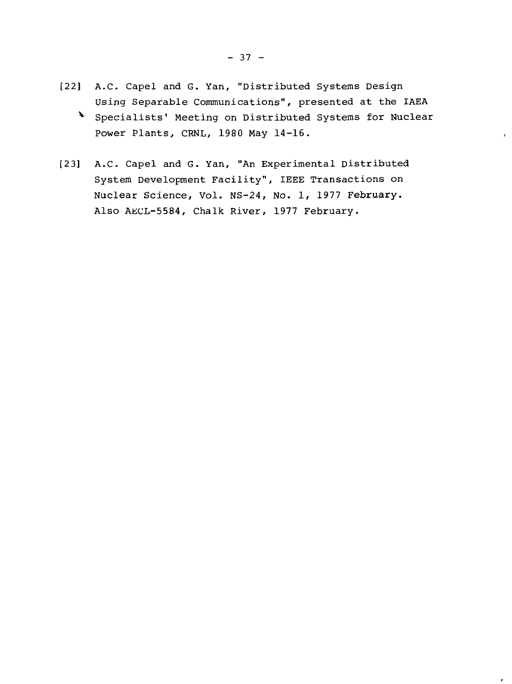- [22] A.C. Capel and G. Yan, "Distributed Systems Design Using Separable Communications", presented at the IAEA
	- ^ Specialists' Meeting on Distributed Systems for Nuclear Power Plants, CRNL, 1980 May 14-16.

 $\bar{\mathbf{r}}$ 

[23] A.C. Capel and G. Yan, "An Experimental Distributed System Development Facility", IEEE Transactions on Nuclear Science, Vol. NS-24, No. 1, 1977 February. Also AECL-5584, Chalk River, 1977 February.